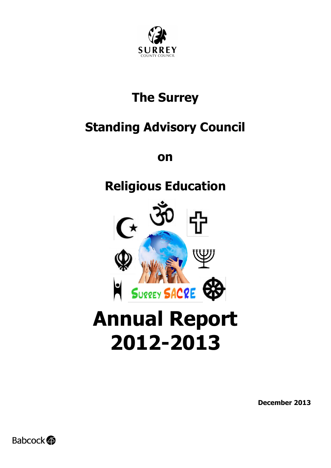

## **The Surrey**

## **Standing Advisory Council**

**on**

## **Religious Education**



# **2012-2013**

**December 2013**

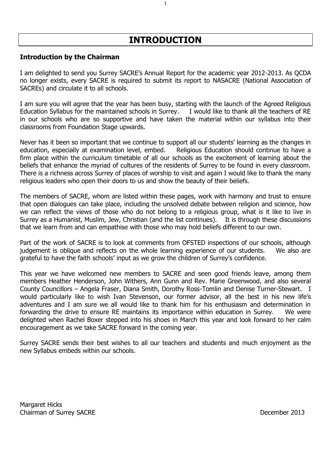#### **INTRODUCTION**

1

#### **Introduction by the Chairman**

I am delighted to send you Surrey SACRE's Annual Report for the academic year 2012-2013. As QCDA no longer exists, every SACRE is required to submit its report to NASACRE (National Association of SACREs) and circulate it to all schools.

I am sure you will agree that the year has been busy, starting with the launch of the Agreed Religious Education Syllabus for the maintained schools in Surrey. I would like to thank all the teachers of RE in our schools who are so supportive and have taken the material within our syllabus into their classrooms from Foundation Stage upwards.

Never has it been so important that we continue to support all our students' learning as the changes in education, especially at examination level, embed. Religious Education should continue to have a firm place within the curriculum timetable of all our schools as the excitement of learning about the beliefs that enhance the myriad of cultures of the residents of Surrey to be found in every classroom. There is a richness across Surrey of places of worship to visit and again I would like to thank the many religious leaders who open their doors to us and show the beauty of their beliefs.

The members of SACRE, whom are listed within these pages, work with harmony and trust to ensure that open dialogues can take place, including the unsolved debate between religion and science, how we can reflect the views of those who do not belong to a religious group, what is it like to live in Surrey as a Humanist, Muslim, Jew, Christian (and the list continues). It is through these discussions that we learn from and can empathise with those who may hold beliefs different to our own.

Part of the work of SACRE is to look at comments from OFSTED inspections of our schools, although judgement is oblique and reflects on the whole learning experience of our students. We also are grateful to have the faith schools' input as we grow the children of Surrey's confidence.

This year we have welcomed new members to SACRE and seen good friends leave, among them members Heather Henderson, John Withers, Ann Gunn and Rev. Marie Greenwood, and also several County Councillors – Angela Fraser, Diana Smith, Dorothy Ross-Tomlin and Denise Turner-Stewart. I would particularly like to wish Ivan Stevenson, our former advisor, all the best in his new life's adventures and I am sure we all would like to thank him for his enthusiasm and determination in forwarding the drive to ensure RE maintains its importance within education in Surrey. We were delighted when Rachel Boxer stepped into his shoes in March this year and look forward to her calm encouragement as we take SACRE forward in the coming year.

Surrey SACRE sends their best wishes to all our teachers and students and much enjoyment as the new Syllabus embeds within our schools.

Margaret Hicks Chairman of Surrey SACRE December 2013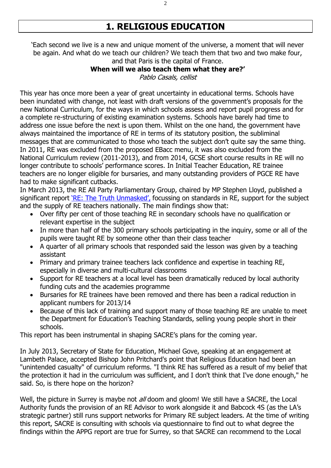### **1. RELIGIOUS EDUCATION**

'Each second we live is a new and unique moment of the universe, a moment that will never be again. And what do we teach our children? We teach them that two and two make four, and that Paris is the capital of France.

#### **When will we also teach them what they are?'**

Pablo Casals, cellist

This year has once more been a year of great uncertainty in educational terms. Schools have been inundated with change, not least with draft versions of the government's proposals for the new National Curriculum, for the ways in which schools assess and report pupil progress and for a complete re-structuring of existing examination systems. Schools have barely had time to address one issue before the next is upon them. Whilst on the one hand, the government have always maintained the importance of RE in terms of its statutory position, the subliminal messages that are communicated to those who teach the subject don't quite say the same thing. In 2011, RE was excluded from the proposed EBacc menu, it was also excluded from the National Curriculum review (2011-2013), and from 2014, GCSE short course results in RE will no longer contribute to schools' performance scores. In Initial Teacher Education, RE trainee teachers are no longer eligible for bursaries, and many outstanding providers of PGCE RE have had to make significant cutbacks.

In March 2013, the RE All Party Parliamentary Group, chaired by MP Stephen Lloyd, published a significant report ['RE: The Truth Unmasked',](http://religiouseducationcouncil.org.uk/media/file/APPG_RE_-_The_Truth_Unmasked.pdf) focussing on standards in RE, support for the subject and the supply of RE teachers nationally. The main findings show that:

- Over fifty per cent of those teaching RE in secondary schools have no qualification or relevant expertise in the subject
- In more than half of the 300 primary schools participating in the inquiry, some or all of the pupils were taught RE by someone other than their class teacher
- A quarter of all primary schools that responded said the lesson was given by a teaching assistant
- Primary and primary trainee teachers lack confidence and expertise in teaching RE, especially in diverse and multi-cultural classrooms
- Support for RE teachers at a local level has been dramatically reduced by local authority funding cuts and the academies programme
- Bursaries for RE trainees have been removed and there has been a radical reduction in applicant numbers for 2013/14
- Because of this lack of training and support many of those teaching RE are unable to meet the Department for Education's Teaching Standards, selling young people short in their schools.

This report has been instrumental in shaping SACRE's plans for the coming year.

In July 2013, Secretary of State for Education, Michael Gove, speaking at an engagement at Lambeth Palace, accepted Bishop John Pritchard's point that Religious Education had been an "unintended casualty" of curriculum reforms. "I think RE has suffered as a result of my belief that the protection it had in the curriculum was sufficient, and I don't think that I've done enough," he said. So, is there hope on the horizon?

Well, the picture in Surrey is maybe not all doom and gloom! We still have a SACRE, the Local Authority funds the provision of an RE Advisor to work alongside it and Babcock 4S (as the LA's strategic partner) still runs support networks for Primary RE subject leaders. At the time of writing this report, SACRE is consulting with schools via questionnaire to find out to what degree the findings within the APPG report are true for Surrey, so that SACRE can recommend to the Local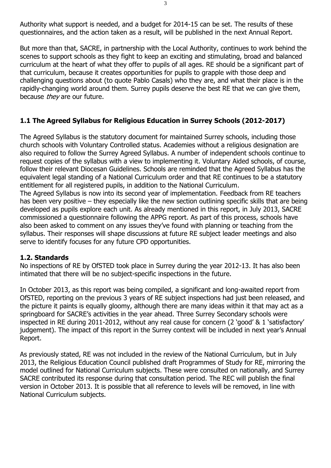Authority what support is needed, and a budget for 2014-15 can be set. The results of these questionnaires, and the action taken as a result, will be published in the next Annual Report.

But more than that, SACRE, in partnership with the Local Authority, continues to work behind the scenes to support schools as they fight to keep an exciting and stimulating, broad and balanced curriculum at the heart of what they offer to pupils of all ages. RE should be a significant part of that curriculum, because it creates opportunities for pupils to grapple with those deep and challenging questions about (to quote Pablo Casals) who they are, and what their place is in the rapidly-changing world around them. Surrey pupils deserve the best RE that we can give them, because they are our future.

#### **1.1 The Agreed Syllabus for Religious Education in Surrey Schools (2012-2017)**

The Agreed Syllabus is the statutory document for maintained Surrey schools, including those church schools with Voluntary Controlled status. Academies without a religious designation are also required to follow the Surrey Agreed Syllabus. A number of independent schools continue to request copies of the syllabus with a view to implementing it. Voluntary Aided schools, of course, follow their relevant Diocesan Guidelines. Schools are reminded that the Agreed Syllabus has the equivalent legal standing of a National Curriculum order and that RE continues to be a statutory entitlement for all registered pupils, in addition to the National Curriculum.

The Agreed Syllabus is now into its second year of implementation. Feedback from RE teachers has been very positive – they especially like the new section outlining specific skills that are being developed as pupils explore each unit. As already mentioned in this report, in July 2013, SACRE commissioned a questionnaire following the APPG report. As part of this process, schools have also been asked to comment on any issues they've found with planning or teaching from the syllabus. Their responses will shape discussions at future RE subject leader meetings and also serve to identify focuses for any future CPD opportunities.

#### **1.2. Standards**

No inspections of RE by OfSTED took place in Surrey during the year 2012-13. It has also been intimated that there will be no subject-specific inspections in the future.

In October 2013, as this report was being compiled, a significant and long-awaited report from OfSTED, reporting on the previous 3 years of RE subject inspections had just been released, and the picture it paints is equally gloomy, although there are many ideas within it that may act as a springboard for SACRE's activities in the year ahead. Three Surrey Secondary schools were inspected in RE during 2011-2012, without any real cause for concern (2 'good' & 1 'satisfactory' judgement). The impact of this report in the Surrey context will be included in next year's Annual Report.

As previously stated, RE was not included in the review of the National Curriculum, but in July 2013, the Religious Education Council published draft Programmes of Study for RE, mirroring the model outlined for National Curriculum subjects. These were consulted on nationally, and Surrey SACRE contributed its response during that consultation period. The REC will publish the final version in October 2013. It is possible that all reference to levels will be removed, in line with National Curriculum subjects.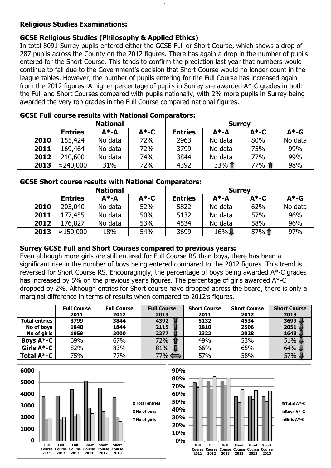#### **Religious Studies Examinations:**

#### **GCSE Religious Studies (Philosophy & Applied Ethics)**

In total 8091 Surrey pupils entered either the GCSE Full or Short Course, which shows a drop of 287 pupils across the County on the 2012 figures. There has again a drop in the number of pupils entered for the Short Course. This tends to confirm the prediction last year that numbers would continue to fall due to the Government's decision that Short Course would no longer count in the league tables. However, the number of pupils entering for the Full Course has increased again from the 2012 figures. A higher percentage of pupils in Surrey are awarded A\*-C grades in both the Full and Short Courses compared with pupils nationally, with 2% more pupils in Surrey being awarded the very top grades in the Full Course compared national figures.

|      |                 |           | OGOL I MIL GOMIJO I GJUNG TITULI I INGIVITAL OVITIBAL UGOLJI |                |           |          |          |  |
|------|-----------------|-----------|--------------------------------------------------------------|----------------|-----------|----------|----------|--|
|      | <b>National</b> |           |                                                              | <b>Surrey</b>  |           |          |          |  |
|      | <b>Entries</b>  | $A^* - A$ | $A^*$ -C                                                     | <b>Entries</b> | $A^* - A$ | $A^*$ -C | $A^*$ -G |  |
| 2010 | 155,424         | No data   | 72%                                                          | 2963           | No data   | 80%      | No data  |  |
| 2011 | 169,464         | No data   | 72%                                                          | 3799           | No data   | 75%      | 99%      |  |
| 2012 | 210,600         | No data   | 74%                                                          | 3844           | No data   | 77%      | 99%      |  |
| 2013 | ≈240,000        | 31%       | 72%                                                          | 4392           | 33%1      | 77% 个    | 98%      |  |

#### **GCSE Full course results with National Comparators:**

#### **GCSE Short course results with National Comparators:**

|      | <b>National</b> |         |          | <b>Surrey</b>  |         |          |          |
|------|-----------------|---------|----------|----------------|---------|----------|----------|
|      | <b>Entries</b>  | А*-А    | $A^*$ -C | <b>Entries</b> | А*-А    | $A^*$ -C | $A^*$ -G |
| 2010 | 205,040         | No data | 52%      | 5822           | No data | 62%      | No data  |
| 2011 | 177,455         | No data | 50%      | 5132           | No data | 57%      | 96%      |
| 2012 | 176,827         | No data | 53%      | 4534           | No data | 58%      | 96%      |
| 2013 | ≈150,000        | 18%     | 54%      | 3699           | $16\%$  | 57%1     | 97%      |

#### **Surrey GCSE Full and Short Courses compared to previous years:**

Even although more girls are still entered for Full Course RS than boys, there has been a significant rise in the number of boys being entered compared to the 2012 figures. This trend is reversed for Short Course RS. Encouragingly, the percentage of boys being awarded A\*-C grades has increased by 5% on the previous year's figures. The percentage of girls awarded A\*-C dropped by 2%. Although entries for Short course have dropped across the board, there is only a marginal difference in terms of results when compared to 2012's figures.

|                      | <b>Full Course</b> | <b>Full Course</b> | <b>Full Course</b> | <b>Short Course</b> | <b>Short Course</b> | <b>Short Course</b> |
|----------------------|--------------------|--------------------|--------------------|---------------------|---------------------|---------------------|
|                      | 2011               | 2012               | 2013               | 2011                | 2012                | 2013                |
| <b>Total entries</b> | 3799               | 3844               | 4392               | 5132                | 4534                | 3699                |
| No of boys           | 1840               | 1844               | 2115               | 2810                | 2506                | 2051                |
| No of girls          | 1959               | 2000               | 2277               | 2322                | 2028                | 1648                |
| Boys $A^*$ -C        | 69%                | 67%                | 72%                | 49%                 | 53%                 | 51%                 |
| Girls $A*-C$         | 82%                | 83%                | 81%                | 66%                 | 65%                 | 64%                 |
| Total $A^*$ -C       | 75%                | 77%                | 77% ⇔              | 57%                 | 58%                 | 57%                 |

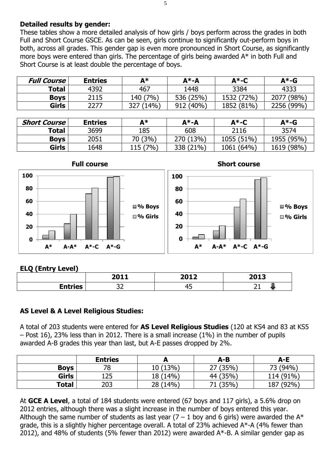#### **Detailed results by gender:**

These tables show a more detailed analysis of how girls / boys perform across the grades in both Full and Short Course GSCE. As can be seen, girls continue to significantly out-perform boys in both, across all grades. This gender gap is even more pronounced in Short Course, as significantly more boys were entered than girls. The percentage of girls being awarded A\* in both Full and Short Course is at least double the percentage of boys.

| 467<br>1448<br>3384<br>4392<br><b>Total</b><br>4333<br>(7% )<br>1532 (72%)<br>2115<br>140<br><b>Boys</b> | <b>Full Course</b> | <b>Entries</b> | A* | $A^*$ -A  | $A^*$ -C | A*-G       |
|----------------------------------------------------------------------------------------------------------|--------------------|----------------|----|-----------|----------|------------|
|                                                                                                          |                    |                |    |           |          |            |
|                                                                                                          |                    |                |    | 536 (25%) |          | 2077 (98%) |
| Girls<br>327 (14%)<br>912 (40%)<br>2277<br>1852 (81%)                                                    |                    |                |    |           |          | 2256 (99%) |

| <b>Short Course</b> | <b>Entries</b> | Δ∗       | А*-А      | А*-С       | $A^*$ -G   |
|---------------------|----------------|----------|-----------|------------|------------|
| <b>Total</b>        | 3699           | 185      | 608       | 2116       | 3574       |
| <b>Boys</b>         | 2051           | 70 (3%)  | 270 (13%) | 1055 (51%) | 1955 (95%) |
| Girls               | 1648           | 115 (7%) | 338 (21%) | 1061 (64%) | 1619 (98%) |



#### **ELQ (Entry Level)**

|   | 2011    | $2012$ | 2012       |
|---|---------|--------|------------|
|   |         |        | LUIJ       |
| - | --<br>ັ | μ<br>  | <u>_ _</u> |

#### **AS Level & A Level Religious Studies:**

A total of 203 students were entered for **AS Level Religious Studies** (120 at KS4 and 83 at KS5 – Post 16), 23% less than in 2012. There is a small increase (1%) in the number of pupils awarded A-B grades this year than last, but A-E passes dropped by 2%.

|              | <b>Entries</b> |          | A-B      | A-E       |
|--------------|----------------|----------|----------|-----------|
| <b>Boys</b>  | 78             | 10 (13%) | 27 (35%) | 73 (94%)  |
| <b>Girls</b> | 125            | 18 (14%) | 44 (35%) | 114 (91%) |
| Total        | 203            | 28 (14%) | 71 (35%) | 187 (92%) |

At **GCE A Level**, a total of 184 students were entered (67 boys and 117 girls), a 5.6% drop on 2012 entries, although there was a slight increase in the number of boys entered this year. Although the same number of students as last year  $(7 - 1)$  boy and 6 girls) were awarded the A\* grade, this is a slightly higher percentage overall. A total of 23% achieved A\*-A (4% fewer than 2012), and 48% of students (5% fewer than 2012) were awarded  $A^*$ -B. A similar gender gap as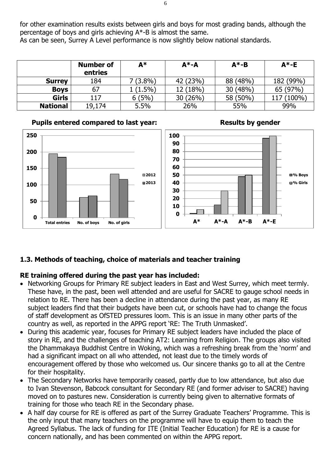for other examination results exists between girls and boys for most grading bands, although the percentage of boys and girls achieving A\*-B is almost the same.

As can be seen, Surrey A Level performance is now slightly below national standards.

|                 | <b>Number of</b><br>entries | A*         | $A^* - A$ | $A^* - B$ | $A^*$ -E  |
|-----------------|-----------------------------|------------|-----------|-----------|-----------|
| <b>Surrey</b>   | 184                         | $7(3.8\%)$ | 42 (23%)  | 88 (48%)  | 182 (99%) |
| <b>Boys</b>     | 67                          | $(1.5\%)$  | 12 (18%)  | 30 (48%)  | 65 (97%)  |
| <b>Girls</b>    | 117                         | 6(5%)      | 30 (26%)  | 58 (50%)  | $(100\%)$ |
| <b>National</b> | 19,174                      | 5.5%       | 26%       | 55%       | 99%       |

#### **Pupils entered compared to last year:** Results by gender





**A\* A\*-A A\*-B A\*-E**

#### **1.3. Methods of teaching, choice of materials and teacher training**

#### **RE training offered during the past year has included:**

- Networking Groups for Primary RE subject leaders in East and West Surrey, which meet termly. These have, in the past, been well attended and are useful for SACRE to gauge school needs in relation to RE. There has been a decline in attendance during the past year, as many RE subject leaders find that their budgets have been cut, or schools have had to change the focus of staff development as OfSTED pressures loom. This is an issue in many other parts of the country as well, as reported in the APPG report 'RE: The Truth Unmasked'.
- During this academic year, focuses for Primary RE subject leaders have included the place of story in RE, and the challenges of teaching AT2: Learning from Religion. The groups also visited the Dhammakaya Buddhist Centre in Woking, which was a refreshing break from the 'norm' and had a significant impact on all who attended, not least due to the timely words of encouragement offered by those who welcomed us. Our sincere thanks go to all at the Centre for their hospitality.
- The Secondary Networks have temporarily ceased, partly due to low attendance, but also due to Ivan Stevenson, Babcock consultant for Secondary RE (and former adviser to SACRE) having moved on to pastures new. Consideration is currently being given to alternative formats of training for those who teach RE in the Secondary phase.
- A half day course for RE is offered as part of the Surrey Graduate Teachers' Programme. This is the only input that many teachers on the programme will have to equip them to teach the Agreed Syllabus. The lack of funding for ITE (Initial Teacher Education) for RE is a cause for concern nationally, and has been commented on within the APPG report.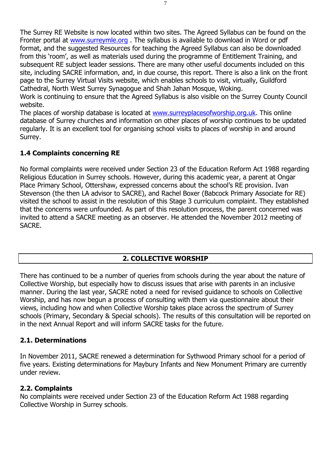The Surrey RE Website is now located within two sites. The Agreed Syllabus can be found on the Fronter portal at [www.surreymle.org](http://www.surreymle.org/) . The syllabus is available to download in Word or pdf format, and the suggested Resources for teaching the Agreed Syllabus can also be downloaded from this 'room', as well as materials used during the programme of Entitlement Training, and subsequent RE subject leader sessions. There are many other useful documents included on this site, including SACRE information, and, in due course, this report. There is also a link on the front page to the Surrey Virtual Visits website, which enables schools to visit, virtually, Guildford Cathedral, North West Surrey Synagogue and Shah Jahan Mosque, Woking.

Work is continuing to ensure that the Agreed Syllabus is also visible on the Surrey County Council website.

The places of worship database is located at [www.surreyplacesofworship.org.uk.](http://www.surreyplacesofworship.org.uk/) This online database of Surrey churches and information on other places of worship continues to be updated regularly. It is an excellent tool for organising school visits to places of worship in and around Surrey.

#### **1.4 Complaints concerning RE**

No formal complaints were received under Section 23 of the Education Reform Act 1988 regarding Religious Education in Surrey schools. However, during this academic year, a parent at Ongar Place Primary School, Ottershaw, expressed concerns about the school's RE provision. Ivan Stevenson (the then LA advisor to SACRE), and Rachel Boxer (Babcock Primary Associate for RE) visited the school to assist in the resolution of this Stage 3 curriculum complaint. They established that the concerns were unfounded. As part of this resolution process, the parent concerned was invited to attend a SACRE meeting as an observer. He attended the November 2012 meeting of SACRE.

#### **2. COLLECTIVE WORSHIP**

There has continued to be a number of queries from schools during the year about the nature of Collective Worship, but especially how to discuss issues that arise with parents in an inclusive manner. During the last year, SACRE noted a need for revised guidance to schools on Collective Worship, and has now begun a process of consulting with them via questionnaire about their views, including how and when Collective Worship takes place across the spectrum of Surrey schools (Primary, Secondary & Special schools). The results of this consultation will be reported on in the next Annual Report and will inform SACRE tasks for the future.

#### **2.1. Determinations**

In November 2011, SACRE renewed a determination for Sythwood Primary school for a period of five years. Existing determinations for Maybury Infants and New Monument Primary are currently under review.

#### **2.2. Complaints**

No complaints were received under Section 23 of the Education Reform Act 1988 regarding Collective Worship in Surrey schools.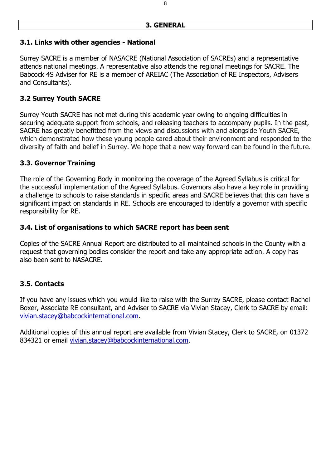#### **3. GENERAL**

#### **3.1. Links with other agencies - National**

Surrey SACRE is a member of NASACRE (National Association of SACREs) and a representative attends national meetings. A representative also attends the regional meetings for SACRE. The Babcock 4S Adviser for RE is a member of AREIAC (The Association of RE Inspectors, Advisers and Consultants).

#### **3.2 Surrey Youth SACRE**

Surrey Youth SACRE has not met during this academic year owing to ongoing difficulties in securing adequate support from schools, and releasing teachers to accompany pupils. In the past, SACRE has greatly benefitted from the views and discussions with and alongside Youth SACRE, which demonstrated how these young people cared about their environment and responded to the diversity of faith and belief in Surrey. We hope that a new way forward can be found in the future.

#### **3.3. Governor Training**

The role of the Governing Body in monitoring the coverage of the Agreed Syllabus is critical for the successful implementation of the Agreed Syllabus. Governors also have a key role in providing a challenge to schools to raise standards in specific areas and SACRE believes that this can have a significant impact on standards in RE. Schools are encouraged to identify a governor with specific responsibility for RE.

#### **3.4. List of organisations to which SACRE report has been sent**

Copies of the SACRE Annual Report are distributed to all maintained schools in the County with a request that governing bodies consider the report and take any appropriate action. A copy has also been sent to NASACRE.

#### **3.5. Contacts**

If you have any issues which you would like to raise with the Surrey SACRE, please contact Rachel Boxer, Associate RE consultant, and Adviser to SACRE via Vivian Stacey, Clerk to SACRE by email: [vivian.stacey@babcockinternational.com.](mailto:vivian.stacey@babcockinternational.com)

Additional copies of this annual report are available from Vivian Stacey, Clerk to SACRE, on 01372 834321 or email [vivian.stacey@babcockinternational.com.](mailto:vivian.stacey@babcockinternational.com)